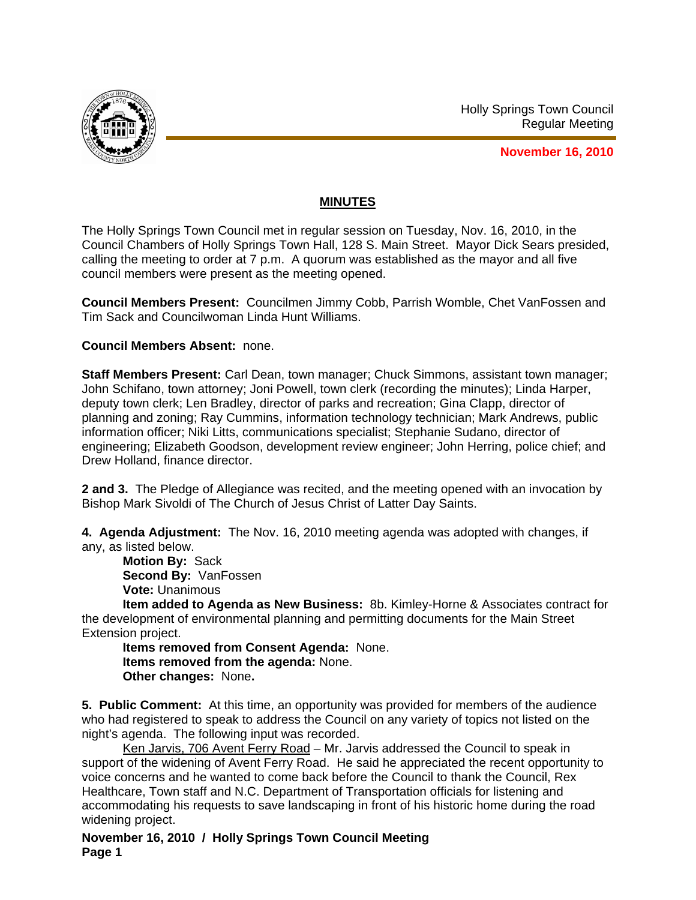

Holly Springs Town Council Regular Meeting

**November 16, 2010**

## **MINUTES**

The Holly Springs Town Council met in regular session on Tuesday, Nov. 16, 2010, in the Council Chambers of Holly Springs Town Hall, 128 S. Main Street. Mayor Dick Sears presided, calling the meeting to order at 7 p.m. A quorum was established as the mayor and all five council members were present as the meeting opened.

**Council Members Present:** Councilmen Jimmy Cobb, Parrish Womble, Chet VanFossen and Tim Sack and Councilwoman Linda Hunt Williams.

## **Council Members Absent:** none.

**Staff Members Present:** Carl Dean, town manager; Chuck Simmons, assistant town manager; John Schifano, town attorney; Joni Powell, town clerk (recording the minutes); Linda Harper, deputy town clerk; Len Bradley, director of parks and recreation; Gina Clapp, director of planning and zoning; Ray Cummins, information technology technician; Mark Andrews, public information officer; Niki Litts, communications specialist; Stephanie Sudano, director of engineering; Elizabeth Goodson, development review engineer; John Herring, police chief; and Drew Holland, finance director.

**2 and 3.** The Pledge of Allegiance was recited, and the meeting opened with an invocation by Bishop Mark Sivoldi of The Church of Jesus Christ of Latter Day Saints.

**4. Agenda Adjustment:** The Nov. 16, 2010 meeting agenda was adopted with changes, if any, as listed below.

**Motion By:** Sack **Second By:** VanFossen **Vote:** Unanimous

**Item added to Agenda as New Business:** 8b. Kimley-Horne & Associates contract for the development of environmental planning and permitting documents for the Main Street Extension project.

**Items removed from Consent Agenda:** None. **Items removed from the agenda:** None. **Other changes:** None**.** 

**5. Public Comment:** At this time, an opportunity was provided for members of the audience who had registered to speak to address the Council on any variety of topics not listed on the night's agenda. The following input was recorded.

Ken Jarvis, 706 Avent Ferry Road - Mr. Jarvis addressed the Council to speak in support of the widening of Avent Ferry Road. He said he appreciated the recent opportunity to voice concerns and he wanted to come back before the Council to thank the Council, Rex Healthcare, Town staff and N.C. Department of Transportation officials for listening and accommodating his requests to save landscaping in front of his historic home during the road widening project.

**November 16, 2010 / Holly Springs Town Council Meeting Page 1**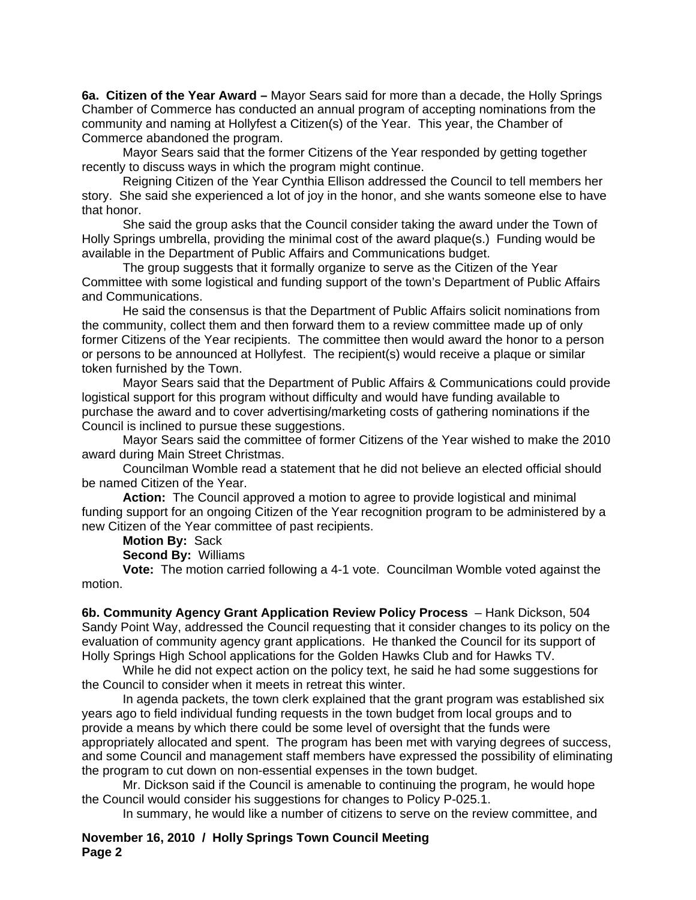**6a. Citizen of the Year Award –** Mayor Sears said for more than a decade, the Holly Springs Chamber of Commerce has conducted an annual program of accepting nominations from the community and naming at Hollyfest a Citizen(s) of the Year. This year, the Chamber of Commerce abandoned the program.

 Mayor Sears said that the former Citizens of the Year responded by getting together recently to discuss ways in which the program might continue.

 Reigning Citizen of the Year Cynthia Ellison addressed the Council to tell members her story. She said she experienced a lot of joy in the honor, and she wants someone else to have that honor.

She said the group asks that the Council consider taking the award under the Town of Holly Springs umbrella, providing the minimal cost of the award plaque(s.) Funding would be available in the Department of Public Affairs and Communications budget.

 The group suggests that it formally organize to serve as the Citizen of the Year Committee with some logistical and funding support of the town's Department of Public Affairs and Communications.

 He said the consensus is that the Department of Public Affairs solicit nominations from the community, collect them and then forward them to a review committee made up of only former Citizens of the Year recipients. The committee then would award the honor to a person or persons to be announced at Hollyfest. The recipient(s) would receive a plaque or similar token furnished by the Town.

 Mayor Sears said that the Department of Public Affairs & Communications could provide logistical support for this program without difficulty and would have funding available to purchase the award and to cover advertising/marketing costs of gathering nominations if the Council is inclined to pursue these suggestions.

 Mayor Sears said the committee of former Citizens of the Year wished to make the 2010 award during Main Street Christmas.

 Councilman Womble read a statement that he did not believe an elected official should be named Citizen of the Year.

**Action:** The Council approved a motion to agree to provide logistical and minimal funding support for an ongoing Citizen of the Year recognition program to be administered by a new Citizen of the Year committee of past recipients.

**Motion By:** Sack

**Second By:** Williams

**Vote:** The motion carried following a 4-1 vote. Councilman Womble voted against the motion.

**6b. Community Agency Grant Application Review Policy Process** – Hank Dickson, 504 Sandy Point Way, addressed the Council requesting that it consider changes to its policy on the evaluation of community agency grant applications. He thanked the Council for its support of Holly Springs High School applications for the Golden Hawks Club and for Hawks TV.

 While he did not expect action on the policy text, he said he had some suggestions for the Council to consider when it meets in retreat this winter.

 In agenda packets, the town clerk explained that the grant program was established six years ago to field individual funding requests in the town budget from local groups and to provide a means by which there could be some level of oversight that the funds were appropriately allocated and spent. The program has been met with varying degrees of success, and some Council and management staff members have expressed the possibility of eliminating the program to cut down on non-essential expenses in the town budget.

 Mr. Dickson said if the Council is amenable to continuing the program, he would hope the Council would consider his suggestions for changes to Policy P-025.1.

In summary, he would like a number of citizens to serve on the review committee, and

**November 16, 2010 / Holly Springs Town Council Meeting Page 2**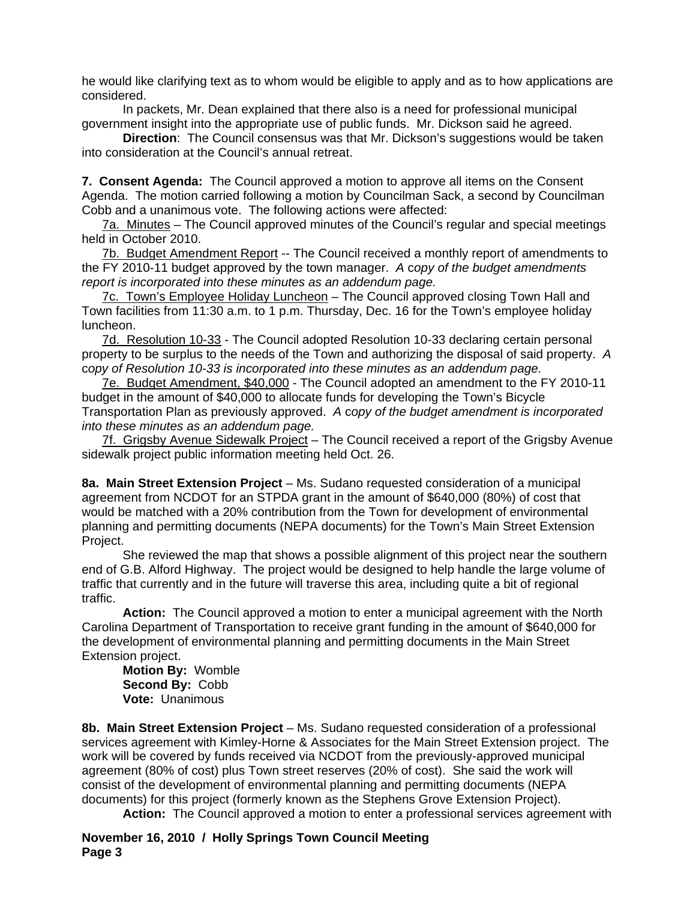he would like clarifying text as to whom would be eligible to apply and as to how applications are considered.

In packets, Mr. Dean explained that there also is a need for professional municipal government insight into the appropriate use of public funds. Mr. Dickson said he agreed.

**Direction**: The Council consensus was that Mr. Dickson's suggestions would be taken into consideration at the Council's annual retreat.

**7. Consent Agenda:** The Council approved a motion to approve all items on the Consent Agenda. The motion carried following a motion by Councilman Sack, a second by Councilman Cobb and a unanimous vote. The following actions were affected:

7a. Minutes – The Council approved minutes of the Council's regular and special meetings held in October 2010.

7b. Budget Amendment Report -- The Council received a monthly report of amendments to the FY 2010-11 budget approved by the town manager. *A* c*opy of the budget amendments report is incorporated into these minutes as an addendum page.*

7c. Town's Employee Holiday Luncheon – The Council approved closing Town Hall and Town facilities from 11:30 a.m. to 1 p.m. Thursday, Dec. 16 for the Town's employee holiday luncheon.

7d. Resolution 10-33 - The Council adopted Resolution 10-33 declaring certain personal property to be surplus to the needs of the Town and authorizing the disposal of said property. *A*  c*opy of Resolution 10-33 is incorporated into these minutes as an addendum page.*

7e. Budget Amendment, \$40,000 - The Council adopted an amendment to the FY 2010-11 budget in the amount of \$40,000 to allocate funds for developing the Town's Bicycle Transportation Plan as previously approved. *A* c*opy of the budget amendment is incorporated into these minutes as an addendum page.*

7f. Grigsby Avenue Sidewalk Project – The Council received a report of the Grigsby Avenue sidewalk project public information meeting held Oct. 26.

**8a. Main Street Extension Project** – Ms. Sudano requested consideration of a municipal agreement from NCDOT for an STPDA grant in the amount of \$640,000 (80%) of cost that would be matched with a 20% contribution from the Town for development of environmental planning and permitting documents (NEPA documents) for the Town's Main Street Extension Project.

 She reviewed the map that shows a possible alignment of this project near the southern end of G.B. Alford Highway. The project would be designed to help handle the large volume of traffic that currently and in the future will traverse this area, including quite a bit of regional traffic.

**Action:** The Council approved a motion to enter a municipal agreement with the North Carolina Department of Transportation to receive grant funding in the amount of \$640,000 for the development of environmental planning and permitting documents in the Main Street Extension project.

**Motion By:** Womble **Second By:** Cobb **Vote:** Unanimous

**8b. Main Street Extension Project** – Ms. Sudano requested consideration of a professional services agreement with Kimley-Horne & Associates for the Main Street Extension project. The work will be covered by funds received via NCDOT from the previously-approved municipal agreement (80% of cost) plus Town street reserves (20% of cost). She said the work will consist of the development of environmental planning and permitting documents (NEPA documents) for this project (formerly known as the Stephens Grove Extension Project).

**Action:** The Council approved a motion to enter a professional services agreement with

**November 16, 2010 / Holly Springs Town Council Meeting Page 3**